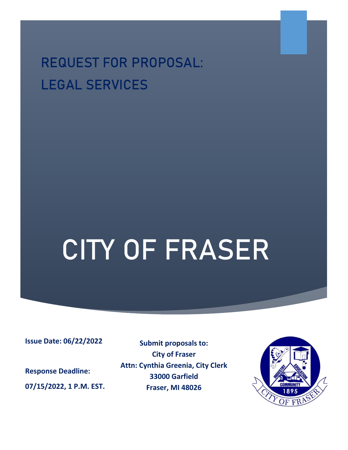**REQUEST FOR PROPOSAL: LEGAL SERVICES**

# CITY OF FRASER

**Issue Date: 06/22/2022**

**Response Deadline: 07/15/2022, 1 P.M. EST.**

**Submit proposals to: City of Fraser Attn: Cynthia Greenia, City Clerk 33000 Garfield Fraser, MI 48026**

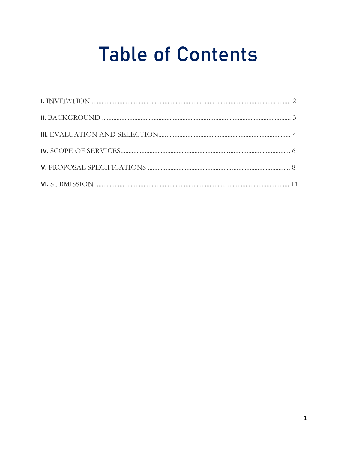# **Table of Contents**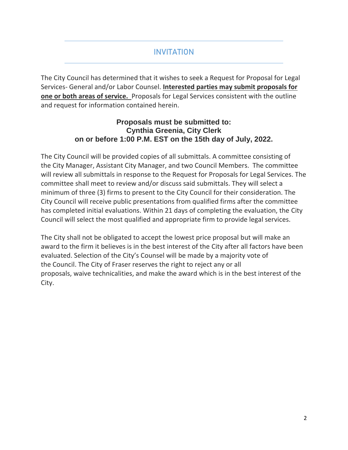# **INVITATION**

The City Council has determined that it wishes to seek a Request for Proposal for Legal Services- General and/or Labor Counsel. **Interested parties may submit proposals for one or both areas of service.** Proposals for Legal Services consistent with the outline and request for information contained herein.

#### **Proposals must be submitted to: Cynthia Greenia, City Clerk on or before 1:00 P.M. EST on the 15th day of July, 2022.**

The City Council will be provided copies of all submittals. A committee consisting of the City Manager, Assistant City Manager, and two Council Members. The committee will review all submittals in response to the Request for Proposals for Legal Services. The committee shall meet to review and/or discuss said submittals. They will select a minimum of three (3) firms to present to the City Council for their consideration. The City Council will receive public presentations from qualified firms after the committee has completed initial evaluations. Within 21 days of completing the evaluation, the City Council will select the most qualified and appropriate firm to provide legal services.

The City shall not be obligated to accept the lowest price proposal but will make an award to the firm it believes is in the best interest of the City after all factors have been evaluated. Selection of the City's Counsel will be made by a majority vote of the Council. The City of Fraser reserves the right to reject any or all proposals, waive technicalities, and make the award which is in the best interest of the City.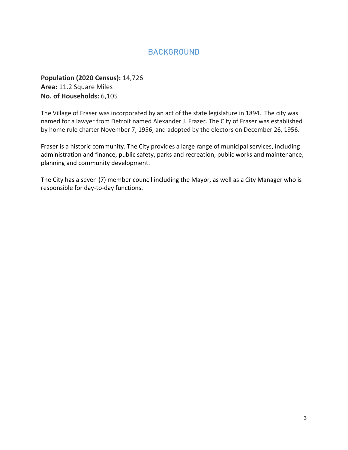# BACKGROUND

**Population (2020 Census):** 14,726 **Area:** 11.2 Square Miles **No. of Households:** 6,105

The Village of Fraser was incorporated by an act of the state legislature in 1894. The city was named for a lawyer from Detroit named Alexander J. Frazer. The City of Fraser was established by home rule charter November 7, 1956, and adopted by the electors on December 26, 1956.

Fraser is a historic community. The City provides a large range of municipal services, including administration and finance, public safety, parks and recreation, public works and maintenance, planning and community development.

The City has a seven (7) member council including the Mayor, as well as a City Manager who is responsible for day-to-day functions.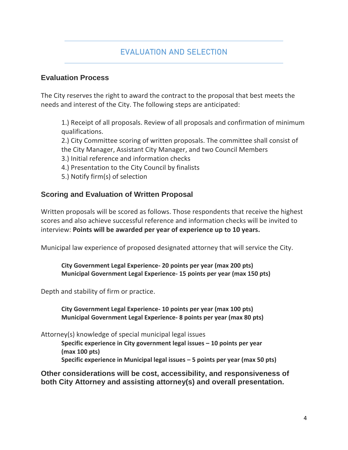# EVALUATION AND SELECTION

#### **Evaluation Process**

The City reserves the right to award the contract to the proposal that best meets the needs and interest of the City. The following steps are anticipated:

1.) Receipt of all proposals. Review of all proposals and confirmation of minimum qualifications.

2.) City Committee scoring of written proposals. The committee shall consist of the City Manager, Assistant City Manager, and two Council Members

- 3.) Initial reference and information checks
- 4.) Presentation to the City Council by finalists
- 5.) Notify firm(s) of selection

#### **Scoring and Evaluation of Written Proposal**

Written proposals will be scored as follows. Those respondents that receive the highest scores and also achieve successful reference and information checks will be invited to interview: **Points will be awarded per year of experience up to 10 years.**

Municipal law experience of proposed designated attorney that will service the City.

**City Government Legal Experience- 20 points per year (max 200 pts) Municipal Government Legal Experience- 15 points per year (max 150 pts)**

Depth and stability of firm or practice.

**City Government Legal Experience- 10 points per year (max 100 pts) Municipal Government Legal Experience- 8 points per year (max 80 pts)**

Attorney(s) knowledge of special municipal legal issues

**Specific experience in City government legal issues – 10 points per year (max 100 pts)**

**Specific experience in Municipal legal issues – 5 points per year (max 50 pts)**

**Other considerations will be cost, accessibility, and responsiveness of both City Attorney and assisting attorney(s) and overall presentation.**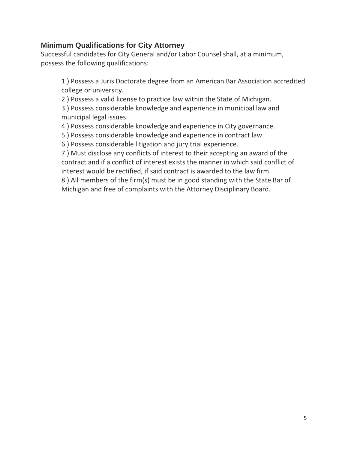#### **Minimum Qualifications for City Attorney**

Successful candidates for City General and/or Labor Counsel shall, at a minimum, possess the following qualifications:

1.) Possess a Juris Doctorate degree from an American Bar Association accredited college or university.

2.) Possess a valid license to practice law within the State of Michigan.

3.) Possess considerable knowledge and experience in municipal law and municipal legal issues.

4.) Possess considerable knowledge and experience in City governance.

5.) Possess considerable knowledge and experience in contract law.

6.) Possess considerable litigation and jury trial experience.

7.) Must disclose any conflicts of interest to their accepting an award of the contract and if a conflict of interest exists the manner in which said conflict of interest would be rectified, if said contract is awarded to the law firm.

8.) All members of the firm(s) must be in good standing with the State Bar of Michigan and free of complaints with the Attorney Disciplinary Board.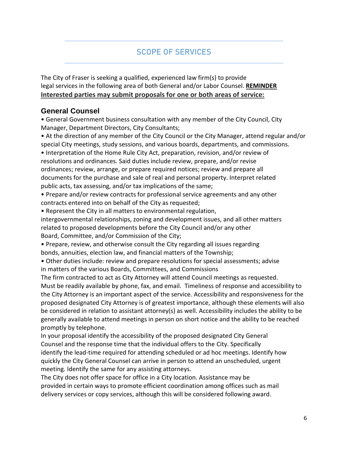### **SCOPE OF SERVICES**

The City of Fraser is seeking a qualified, experienced law firm(s) to provide legal services in the following area of both General and/or Labor Counsel. **REMINDER Interested parties may submit proposals for one or both areas of service:**

#### **General Counsel**

• General Government business consultation with any member of the City Council, City Manager, Department Directors, City Consultants;

• At the direction of any member of the City Council or the City Manager, attend regular and/or special City meetings, study sessions, and various boards, departments, and commissions.

• Interpretation of the Home Rule City Act, preparation, revision, and/or review of resolutions and ordinances. Said duties include review, prepare, and/or revise ordinances; review, arrange, or prepare required notices; review and prepare all documents for the purchase and sale of real and personal property. Interpret related public acts, tax assessing, and/or tax implications of the same;

- Prepare and/or review contracts for professional service agreements and any other contracts entered into on behalf of the City as requested;
- Represent the City in all matters to environmental regulation,

intergovernmental relationships, zoning and development issues, and all other matters related to proposed developments before the City Council and/or any other Board, Committee, and/or Commission of the City;

• Prepare, review, and otherwise consult the City regarding all issues regarding

bonds, annuities, election law, and financial matters of the Township;

• Other duties include: review and prepare resolutions for special assessments; advise in matters of the various Boards, Committees, and Commissions

The firm contracted to act as City Attorney will attend Council meetings as requested. Must be readily available by phone, fax, and email. Timeliness of response and accessibility to the City Attorney is an important aspect of the service. Accessibility and responsiveness for the proposed designated City Attorney is of greatest importance, although these elements will also be considered in relation to assistant attorney(s) as well. Accessibility includes the ability to be generally available to attend meetings in person on short notice and the ability to be reached promptly by telephone.

In your proposal identify the accessibility of the proposed designated City General Counsel and the response time that the individual offers to the City. Specifically identify the lead-time required for attending scheduled or ad hoc meetings. Identify how quickly the City General Counsel can arrive in person to attend an unscheduled, urgent meeting. Identify the same for any assisting attorneys.

The City does not offer space for office in a City location. Assistance may be provided in certain ways to promote efficient coordination among offices such as mail delivery services or copy services, although this will be considered following award.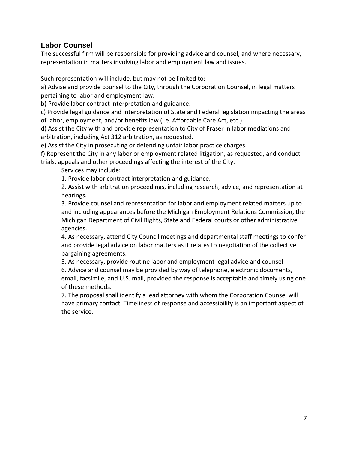#### **Labor Counsel**

The successful firm will be responsible for providing advice and counsel, and where necessary, representation in matters involving labor and employment law and issues.

Such representation will include, but may not be limited to:

a) Advise and provide counsel to the City, through the Corporation Counsel, in legal matters pertaining to labor and employment law.

b) Provide labor contract interpretation and guidance.

c) Provide legal guidance and interpretation of State and Federal legislation impacting the areas of labor, employment, and/or benefits law (i.e. Affordable Care Act, etc.).

d) Assist the City with and provide representation to City of Fraser in labor mediations and arbitration, including Act 312 arbitration, as requested.

e) Assist the City in prosecuting or defending unfair labor practice charges.

f) Represent the City in any labor or employment related litigation, as requested, and conduct trials, appeals and other proceedings affecting the interest of the City.

Services may include:

1. Provide labor contract interpretation and guidance.

2. Assist with arbitration proceedings, including research, advice, and representation at hearings.

3. Provide counsel and representation for labor and employment related matters up to and including appearances before the Michigan Employment Relations Commission, the Michigan Department of Civil Rights, State and Federal courts or other administrative agencies.

4. As necessary, attend City Council meetings and departmental staff meetings to confer and provide legal advice on labor matters as it relates to negotiation of the collective bargaining agreements.

5. As necessary, provide routine labor and employment legal advice and counsel 6. Advice and counsel may be provided by way of telephone, electronic documents, email, facsimile, and U.S. mail, provided the response is acceptable and timely using one of these methods.

7. The proposal shall identify a lead attorney with whom the Corporation Counsel will have primary contact. Timeliness of response and accessibility is an important aspect of the service.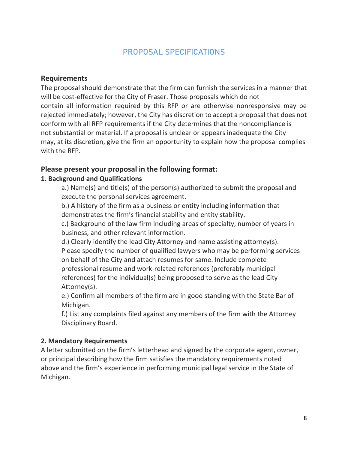#### **Requirements**

The proposal should demonstrate that the firm can furnish the services in a manner that will be cost-effective for the City of Fraser. Those proposals which do not contain all information required by this RFP or are otherwise nonresponsive may be rejected immediately; however, the City has discretion to accept a proposal that does not conform with all RFP requirements if the City determines that the noncompliance is not substantial or material. If a proposal is unclear or appears inadequate the City may, at its discretion, give the firm an opportunity to explain how the proposal complies with the RFP.

#### **Please present your proposal in the following format:**

#### **1. Background and Qualifications**

a.) Name(s) and title(s) of the person(s) authorized to submit the proposal and execute the personal services agreement.

b.) A history of the firm as a business or entity including information that demonstrates the firm's financial stability and entity stability.

c.) Background of the law firm including areas of specialty, number of years in business, and other relevant information.

d.) Clearly identify the lead City Attorney and name assisting attorney(s). Please specify the number of qualified lawyers who may be performing services on behalf of the City and attach resumes for same. Include complete professional resume and work-related references (preferably municipal references) for the individual(s) being proposed to serve as the lead City Attorney(s).

e.) Confirm all members of the firm are in good standing with the State Bar of Michigan.

f.) List any complaints filed against any members of the firm with the Attorney Disciplinary Board.

#### **2. Mandatory Requirements**

A letter submitted on the firm's letterhead and signed by the corporate agent, owner, or principal describing how the firm satisfies the mandatory requirements noted above and the firm's experience in performing municipal legal service in the State of Michigan.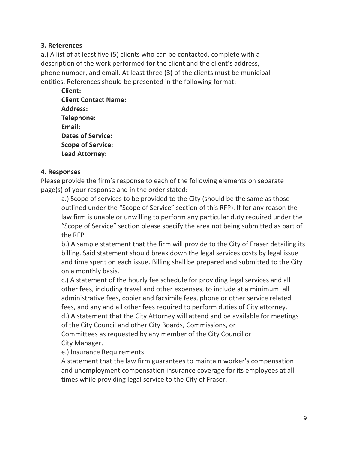#### **3. References**

a.) A list of at least five (5) clients who can be contacted, complete with a description of the work performed for the client and the client's address, phone number, and email. At least three (3) of the clients must be municipal entities. References should be presented in the following format:

**Client: Client Contact Name: Address: Telephone: Email: Dates of Service: Scope of Service: Lead Attorney:**

#### **4. Responses**

Please provide the firm's response to each of the following elements on separate page(s) of your response and in the order stated:

a.) Scope of services to be provided to the City (should be the same as those outlined under the "Scope of Service" section of this RFP). If for any reason the law firm is unable or unwilling to perform any particular duty required under the "Scope of Service" section please specify the area not being submitted as part of the RFP.

b.) A sample statement that the firm will provide to the City of Fraser detailing its billing. Said statement should break down the legal services costs by legal issue and time spent on each issue. Billing shall be prepared and submitted to the City on a monthly basis.

c.) A statement of the hourly fee schedule for providing legal services and all other fees, including travel and other expenses, to include at a minimum: all administrative fees, copier and facsimile fees, phone or other service related fees, and any and all other fees required to perform duties of City attorney. d.) A statement that the City Attorney will attend and be available for meetings

of the City Council and other City Boards, Commissions, or

Committees as requested by any member of the City Council or City Manager.

e.) Insurance Requirements:

A statement that the law firm guarantees to maintain worker's compensation and unemployment compensation insurance coverage for its employees at all times while providing legal service to the City of Fraser.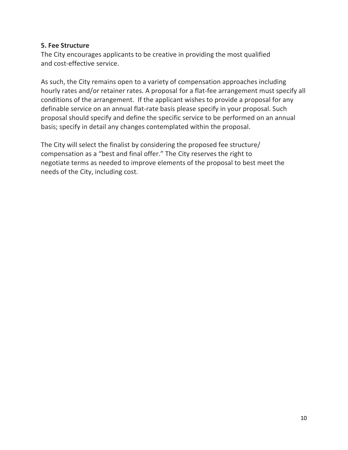#### **5. Fee Structure**

The City encourages applicants to be creative in providing the most qualified and cost-effective service.

As such, the City remains open to a variety of compensation approaches including hourly rates and/or retainer rates. A proposal for a flat-fee arrangement must specify all conditions of the arrangement. If the applicant wishes to provide a proposal for any definable service on an annual flat-rate basis please specify in your proposal. Such proposal should specify and define the specific service to be performed on an annual basis; specify in detail any changes contemplated within the proposal.

The City will select the finalist by considering the proposed fee structure/ compensation as a "best and final offer." The City reserves the right to negotiate terms as needed to improve elements of the proposal to best meet the needs of the City, including cost.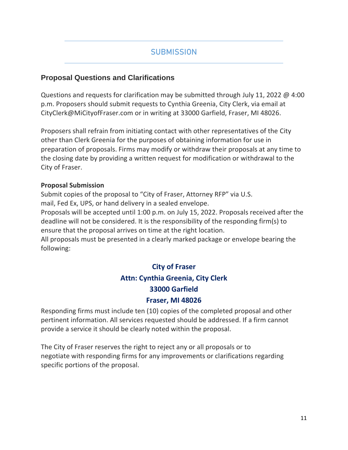# **SUBMISSION**

#### **Proposal Questions and Clarifications**

Questions and requests for clarification may be submitted through July 11, 2022 @ 4:00 p.m. Proposers should submit requests to Cynthia Greenia, City Clerk, via email at CityClerk@MiCityofFraser.com or in writing at 33000 Garfield, Fraser, MI 48026.

Proposers shall refrain from initiating contact with other representatives of the City other than Clerk Greenia for the purposes of obtaining information for use in preparation of proposals. Firms may modify or withdraw their proposals at any time to the closing date by providing a written request for modification or withdrawal to the City of Fraser.

#### **Proposal Submission**

Submit copies of the proposal to "City of Fraser, Attorney RFP" via U.S. mail, Fed Ex, UPS, or hand delivery in a sealed envelope.

Proposals will be accepted until 1:00 p.m. on July 15, 2022. Proposals received after the deadline will not be considered. It is the responsibility of the responding firm(s) to ensure that the proposal arrives on time at the right location.

All proposals must be presented in a clearly marked package or envelope bearing the following:

# **City of Fraser Attn: Cynthia Greenia, City Clerk 33000 Garfield Fraser, MI 48026**

Responding firms must include ten (10) copies of the completed proposal and other pertinent information. All services requested should be addressed. If a firm cannot provide a service it should be clearly noted within the proposal.

The City of Fraser reserves the right to reject any or all proposals or to negotiate with responding firms for any improvements or clarifications regarding specific portions of the proposal.